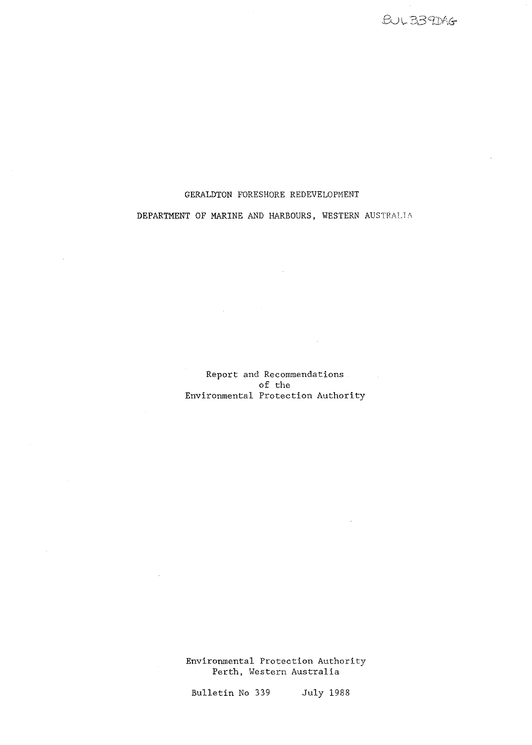

## GERALDTON FORESHORE REDEVELOPMENT

# DEPARTMENT OF MARINE AND HARBOURS, WESTERN AUSTRALIA

Report and Recommendations of the Environmental Protection Authority

Environmental Protection Authority Perth, Western Australia

Bulletin No 339 July 1988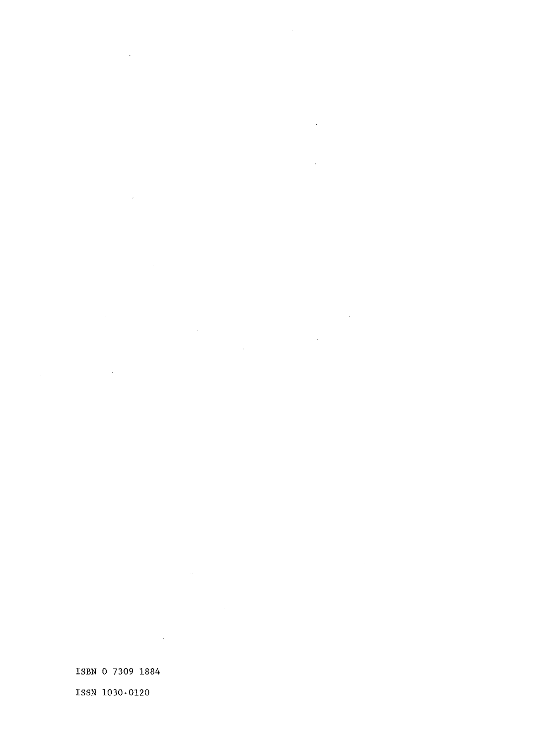ISBN 0 7309 1884

 $\sim 10^6$ 

 $\mathcal{L}^{\text{max}}_{\text{max}}$  ,  $\mathcal{L}^{\text{max}}_{\text{max}}$ 

 $\label{eq:2.1} \mathcal{L}(\mathcal{L}^{\text{max}}_{\mathcal{L}}(\mathcal{L}^{\text{max}}_{\mathcal{L}}),\mathcal{L}^{\text{max}}_{\mathcal{L}}(\mathcal{L}^{\text{max}}_{\mathcal{L}}))$ 

 $\mathcal{L}^{\text{max}}_{\text{max}}$ 

 $\label{eq:2.1} \mathcal{L}(\mathcal{L}^{\text{max}}_{\mathcal{L}}(\mathcal{L}^{\text{max}}_{\mathcal{L}}),\mathcal{L}^{\text{max}}_{\mathcal{L}}(\mathcal{L}^{\text{max}}_{\mathcal{L}}))$ 

 $\sim 10^{11}$ 

ISSN 1030-0120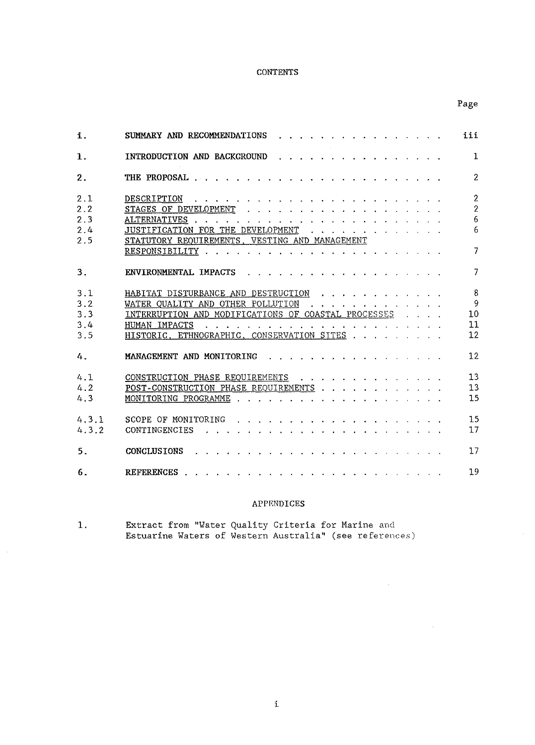## CONTENTS

| i.                               | SUMMARY AND RECOMMENDATIONS                                                                                                                                                                                                                                                                                                                                                                                                                                                              | iii                                        |
|----------------------------------|------------------------------------------------------------------------------------------------------------------------------------------------------------------------------------------------------------------------------------------------------------------------------------------------------------------------------------------------------------------------------------------------------------------------------------------------------------------------------------------|--------------------------------------------|
| 1.                               | INTRODUCTION AND BACKGROUND                                                                                                                                                                                                                                                                                                                                                                                                                                                              | 1                                          |
| 2.                               | THE PROPOSAL                                                                                                                                                                                                                                                                                                                                                                                                                                                                             | $\overline{2}$                             |
| 2.1<br>2.2<br>2, 3<br>2.4<br>2.5 | DESCRIPTION<br>STAGES OF DEVELOPMENT<br>$\frac{1}{2}$ , $\frac{1}{2}$ , $\frac{1}{2}$ , $\frac{1}{2}$ , $\frac{1}{2}$ , $\frac{1}{2}$ , $\frac{1}{2}$ , $\frac{1}{2}$ , $\frac{1}{2}$ , $\frac{1}{2}$ , $\frac{1}{2}$ , $\frac{1}{2}$ , $\frac{1}{2}$ , $\frac{1}{2}$<br><b>ALTERNATIVES</b><br>JUSTIFICATION FOR THE DEVELOPMENT<br>STATUTORY REQUIREMENTS, VESTING AND MANAGEMENT                                                                                                      | $\overline{c}$<br>$\overline{c}$<br>6<br>6 |
| $3$ .                            | RESPONSIBILITY.<br>$\frac{1}{2}$ , and the state of the state of the state of the state of the state of the state of the state of the state of the state of the state of the state of the state of the state of the state of the state of the state<br>ENVIRONMENTAL IMPACTS                                                                                                                                                                                                             | $\overline{I}$<br>$\overline{7}$           |
| 3.1<br>3.2<br>3.3<br>3.4<br>3.5  | HABITAT DISTURBANCE AND DESTRUCTION<br><u>.</u> Kanada kanada ang kabupatèn Pangalang<br>WATER OUALITY AND OTHER POLLUTION<br>INTERRUPTION AND MODIFICATIONS OF COASTAL PROCESSES<br>HUMAN IMPACTS<br><u>. Andreas Andreas Andreas Andreas Andreas Andreas Andreas Andreas Andreas Andreas Andreas Andreas Andreas Andreas Andreas Andreas Andreas Andreas Andreas Andreas Andreas Andreas Andreas Andreas Andreas Andreas Andreas And</u><br>HISTORIC. ETHNOGRAPHIC. CONSERVATION SITES | 8<br>9<br>10<br>11<br>12                   |
| 4.                               | MANAGEMENT AND MONITORING                                                                                                                                                                                                                                                                                                                                                                                                                                                                | 12                                         |
| 4.1<br>4.2<br>4.3                | CONSTRUCTION PHASE REQUIREMENTS<br>$\mathbf{r}$ , $\mathbf{r}$ , $\mathbf{r}$ , $\mathbf{r}$ , $\mathbf{r}$ , $\mathbf{r}$ , $\mathbf{r}$ , $\mathbf{r}$ , $\mathbf{r}$ , $\mathbf{r}$<br>POST-CONSTRUCTION PHASE REQUIREMENTS<br>MONITORING PROGRAMME<br>$\mathbf{r}$ , $\mathbf{r}$ , $\mathbf{r}$ , $\mathbf{r}$ , $\mathbf{r}$ , $\mathbf{r}$                                                                                                                                        | 13<br>13<br>15                             |
| 4.3.1<br>4.3.2                   | SCOPE OF MONITORING<br>CONTINGENCIES                                                                                                                                                                                                                                                                                                                                                                                                                                                     | 15<br>17                                   |
| 5.                               | <b>CONCLUSTONS</b>                                                                                                                                                                                                                                                                                                                                                                                                                                                                       | 17                                         |
| 6.                               | <b>REFERENCES</b><br>$\mathbf{r}$ , and the set of the set of the set of the set of the set of the set of the set of the set of the set of the set of the set of the set of the set of the set of the set of the set of the set of the set of the set                                                                                                                                                                                                                                    | 19                                         |

## APPENDICES

 $\mathcal{L}_{\text{max}}$ 

 $\sim 10^7$ 

1. Extract from "Water Quality Criteria for Marine and **Estuarine Waters of Western Australia11 (see** references)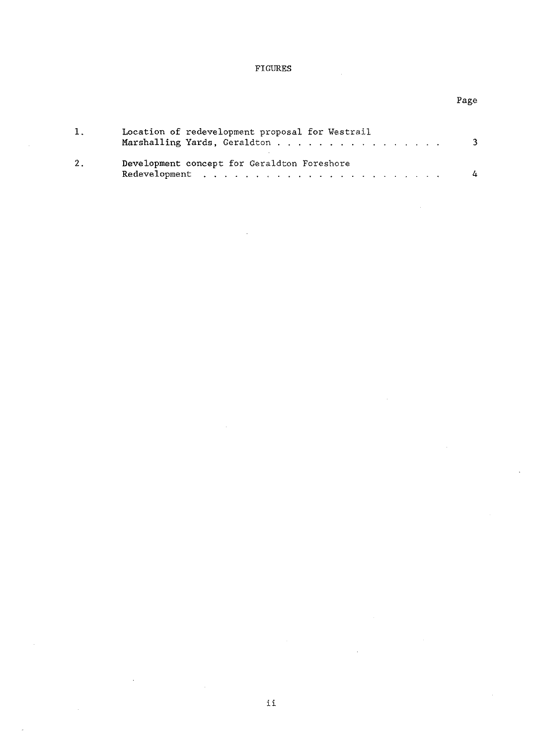# FIGURES

# Page

 $\sim$ 

|    | Location of redevelopment proposal for Westrail | -3 |
|----|-------------------------------------------------|----|
| 2. | Development concept for Geraldton Foreshore     | 4  |

 $\overline{\phantom{a}}$ 

 $\epsilon$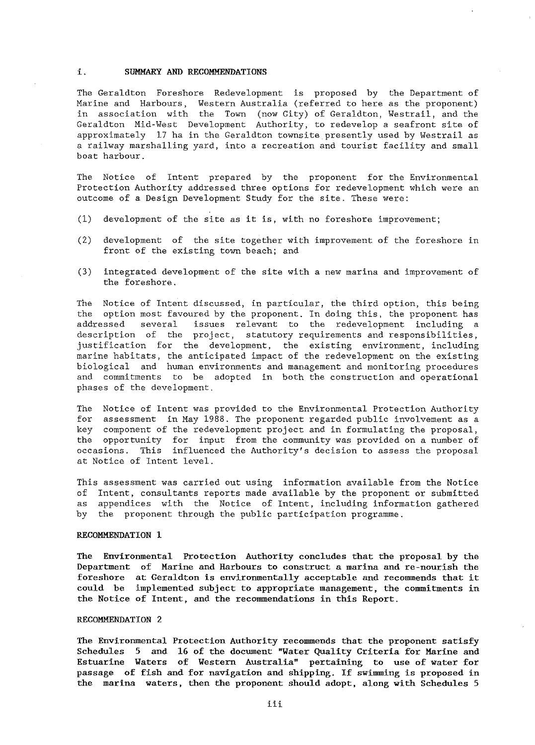#### i. SUMMARY AND RECOMMENDATIONS

The Geraldton Foreshore Redevelopment is proposed by the Department of Marine and Harbours, Western Australia (referred to here as the proponent) in association with the Town (now City) of Geraldton, Westrail, and the Geraldton Mid-West Development Authority, to redevelop a seafront site of approximately 17 ha in the Geraldton townsite presently used by Westrail as a railway marshalling yard, into a recreation and tourist facility and small boat harbour.

The Notice of Intent prepared by the proponent for the Environmental Protection Authority addressed three options for redevelopment which were an outcome of a Design Development Study for the site. These were:

- (1) development of the site as it is, with no foreshore improvement;
- (2) development of the site together with improvement of the foreshore in front of the existing town beach; and
- (3) integrated development of the site with a new marina and improvement of the foreshore.

The Notice of Intent discussed, in particular, the third option, this being<br>the option most favoured by the proponent. In doing this, the proponent has the option most favoured by the proponent. In doing this, the proponent has addressed several issues relevant to the redevelopment including a issues relevant to the redevelopment including a description of the project, statutory requirements and responsibilities, justification for the development, the existing environment, including marine habitats, the anticipated impact of the redevelopment on the existing biological and human environments and management and monitoring procedures and commitments to be adopted in both the construction and operational phases of the development.

The Notice of Intent was provided to the Environmental Protection Authority for assessment in May 1988. The proponent regarded public involvement as a key component of the redevelopment project and in formulating the proposal, the opportunity for input from the community was provided on a number of occasions. This influenced the Authority's decision to assess the proposal at Notice of Intent level.

This assessment was carried out using information available from the Notice of Intent, consultants reports made available by the proponent or submitted as appendices with the Notice of Intent, including information gathered by the proponent through the public participation programme.

#### RECOMMENDATION 1

The Environmental Protection Authority concludes that the proposal by the **Department of Marine and Harbours to construct a marina and re-nourish the**  foreshore at Geraldton is environmentally acceptable and recommends that it could be implemented subject to appropriate management, the commitments in the Notice of Intent, and the recommendations in this Report.

#### RECOMMENDATION 2

The Environmental Protection Authority recommends that the proponent satisfy Schedules 5 and 16 of the document "Water Quality Criteria for Marine and Estuarine Waters of Western Australia" pertaining to use of water for passage of fish and for navigation and shipping. If swimming is proposed in the marina waters, then the proponent should adopt, along with Schedules 5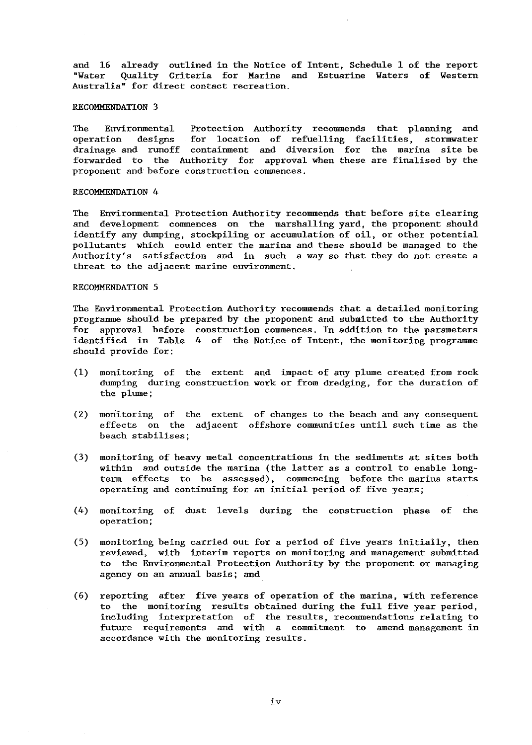and 16 already outlined in the Notice of Intent, Schedule 1 of the report<br>"Water Ouality Criteria for Marine and Estuarine Waters of Western Criteria for Marine and Estuarine Waters of Western **Australia" for direct contact recreation.** 

## RECOMMENDATION 3

The Environmental Protection Authority recommends that planning and operation designs for location of refuelling facilities, stormwater designs for location of refuelling facilities, stormwater drainage and runoff containment and diversion for the marina site be forwarded to the Authority for approval when these are finalised by the **proponent and· before construction commences.** 

## RECOMMENDATION 4

The Environmental Protection Authority recommends that before site clearing<br>and development commences on the marshalling vard, the proponent should development commences on the marshalling yard, the proponent should identify any dumping, stockpiling or accumulation of oil, or other potential pollutants which could enter the marina and these should be managed to the Authority's satisfaction and in such a way so that they do not create a **threat to the adjacent marine environment.** 

## RECOMMENDATION 5

The Environmental Protection Authority recommends that a detailed monitoring programme should be prepared by the proponent and submitted to the Authority for approval before construction commences. In addition to the parameters identified in Table 4 of the Notice of Intent, the monitoring programme should provide for:

- (1) monitoring of the extent and impact of any plume created from rock **dumping during construction work**  or from dredging, for the duration of the plume;
- (2) monitoring of the extent of changes to the beach and any consequent effects on the adjacent offshore communities until such time as the beach stabilises;
- (3) monitoring of heavy metal concentrations in the sediments at sites both within and outside the marina (the latter as a control to enable longterm effects to be assessed), commencing before the marina starts operating and continuing for an initial period of five years;
- (4) monitoring of dust levels during the construction phase of the **operation;**
- (5) monitoring being carried out for a period of five years initially, then **reviewed, with interim reports on monitoring and management submitted**  to the Environmental Protection Authority by the proponent or managing agency on an annual basis; and
- (6) reporting after five years of operation of the marina, with reference to the monitoring results obtained during the full five year period, **including interpretation of the results, recommendations relating to future requirements and with a commitment to amend management in accordance with the monitoring results.**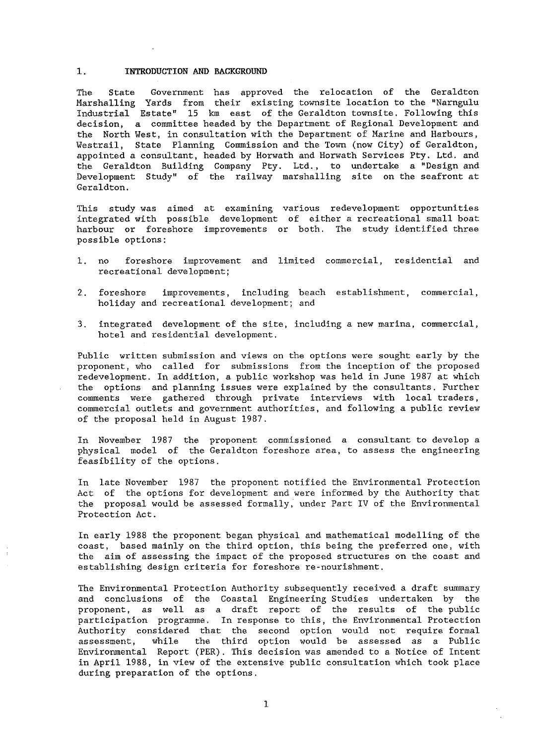## **1. INTRODUCTION AND BACKGROUND**

The State Government has approved the relocation of the Geraldton Marshalling Yards from their existing townsite location to the "Narngulu Industrial Estate" 15 km east of the Geraldton townsite. Following this decision, a committee headed by the Department of Regional Development and the North West, in consultation with the Department of Marine and Harbours, Westrail, State Planning Commission and the Town (now City) of Geraldton, appointed a consultant, headed by Horwath and Horwath Services Pty. Ltd. and the Geraldton Building Company Pty. Ltd., to undertake a "Design and Development Study" of the railway marshalling site on the seafront at Geraldton.

This study was aimed at examining various redevelopment opportunities integrated with possible development of either a recreational small boat harbour or foreshore improvements or both. The study identified three possible options:

- 1. no foreshore improvement and limited commercial, residential and recreational development;
- 2. foreshore improvements, including beach establishment, commercial, holiday and recreational development; and
- 3. integrated development of the site, including a new marina, commercial, hotel and residential development.

Public written submission and views on the options were sought early by the proponent, who called for submissions from the inception of the proposed redevelopment. In addition, a public workshop was held in June 1987 at which the options and planning issues were explained by the consultants. Further comments were gathered through private interviews with local traders, commercial outlets and government authorities, and following a public review of the proposal held in August 1987.

In November 1987 the proponent commissioned a consultant to develop a physical model of the Geraldton foreshore area, to assess the engineering feasibility of the options.

In late November 1987 the proponent notified the Environmental Protection Act of the options for development and were informed by the Authority that the proposal would be assessed formally, under Part IV of the Environmental Protection Act.

In early 1988 the proponent began physical and mathematical modelling of the coast, based mainly on the third option, this being the preferred one, with the aim of assessing the impact of the proposed structures on the coast and establishing design criteria for foreshore re-nourishment.

The Environmental Protection Authority subsequently received a draft summary and conclusions of the Coastal Engineering Studies undertaken by the proponent, as well as a draft report of the results of the public participation programme. In response to this, the Environmental Protection Authority considered that the second option would not require formal assessment, while the third option would be assessed as a Public Environmental Report (PER). This decision was amended to a Notice of Intent in April 1988, in view of the extensive public consultation which took place during preparation of the options.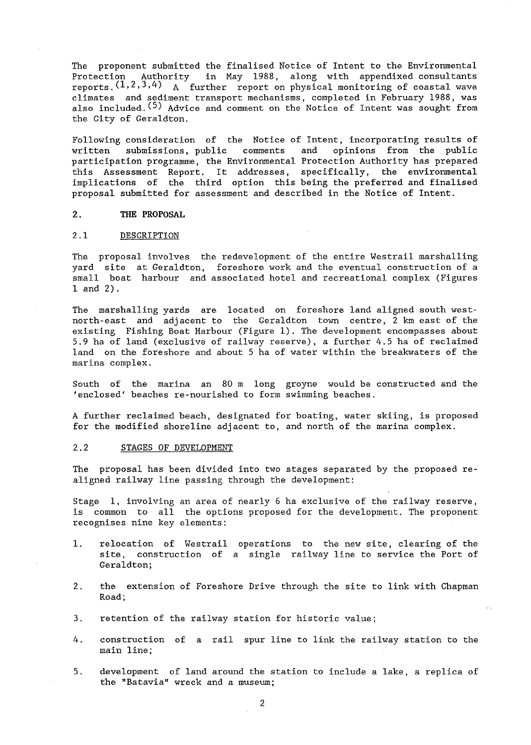The proponent submitted the finalised Notice of Intent to the Environmental Protection Authority in May 1988, along with appendixed consultants reports.  $(1,2,3,4)$  A further report on physical monitoring of coastal wave climates and sediment transport mechanisms, completed in February 1988, was also included.<sup>(5)</sup> Advice and comment on the Notice of Intent was sought from the City of Geraldton.

Following consideration of the Notice of Intent, incorporating results of written submissions, public comments and opinions from the public opinions from the public participation programme, the Environmental Protection Authority has prepared this Assessment Report. It addresses, specifically, the environmental implications of the third option this being the preferred and finalised proposal submitted for assessment and described in the Notice of Intent.

#### 2. **THE PROPOSAL**

#### 2.1 DESCRIPTION

The proposal involves the redevelopment of the entire Westrail marshalling yard site at Geraldton, foreshore work and the eventual construction of a small boat harbour and associated hotel and recreational complex (Figures 1 and 2).

The marshalling yards are located on foreshore land aligned south westnorth-east and adjacent to the Geraldton town centre, 2 km east of the existing Fishing Boat Harbour (Figure 1). The development encompasses about 5.9 ha of land (exclusive of railway reserve), a further 4.5 ha of reclaimed land on the foreshore and about 5 ha of water within the breakwaters of the **marina complex.** 

South of the marina an 80 m long groyne would be constructed and the 'enclosed' beaches re-nourished to form swimming beaches.

A further reclaimed beach, designated for boating, water skiing, is proposed for the modified shoreline adjacent to, and north of the marina complex.

#### 2.2 STAGES OF DEVELOPMENT

The proposal has been divided into two stages separated by the proposed realigned railway line passing through the development:

Stage 1, involving an area of nearly 6 ha exclusive of the railway reserve, is common to all the options proposed for the development. The proponent recognises nine key elements:

- 1. relocation of Westrail operations to the new site, clearing of the site, construction of a single railway line to service the Port of Geraldton;
- 2. the extension of Foreshore Drive through the site to link with Chapman Road;
- 3. retention of the railway station for historic value;
- 4. construction of a rail spur line to link the railway station to the **main line;**
- 5. development of land around the station to include a lake, a replica of the "Batavia" wreck and a museum;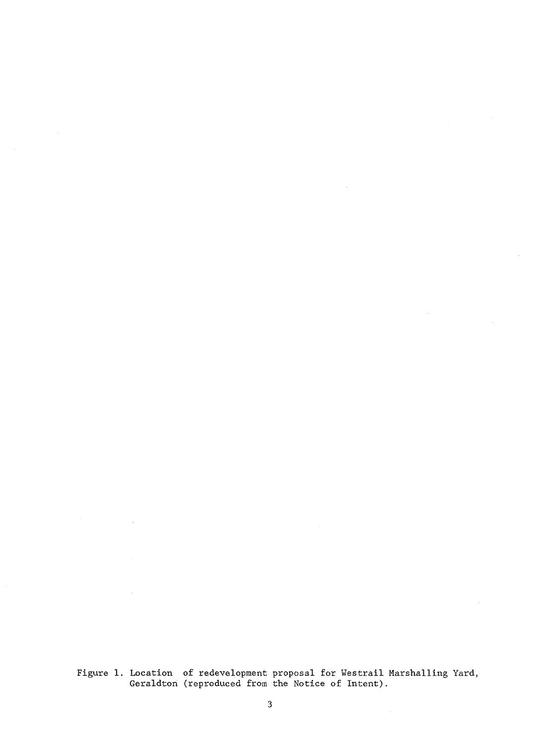Figure 1. Location of redevelopment proposal for Westrail Marshalling Yard, Geraldton (reproduced from the Notice of Intent).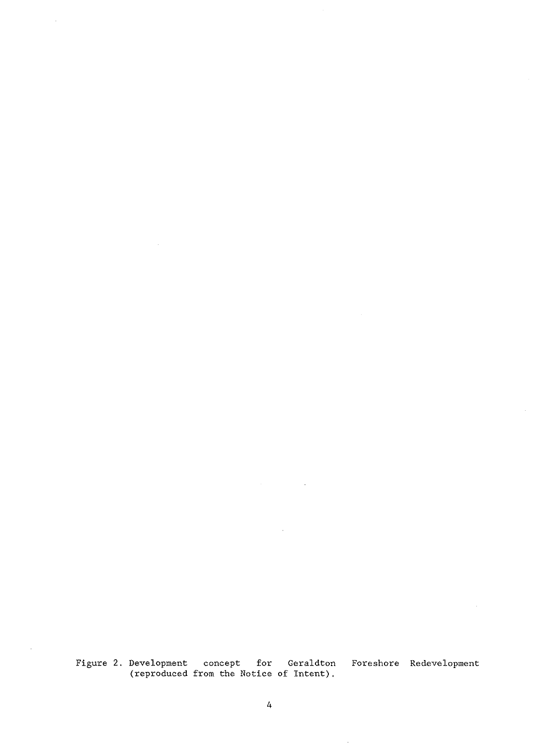Figure 2. Development concept for Geraldton (reproduced from the Notice of Intent). Foreshore Redevelopment

 $\sim$   $\sim$ 

 $\sim$ 

 $\bar{\alpha}$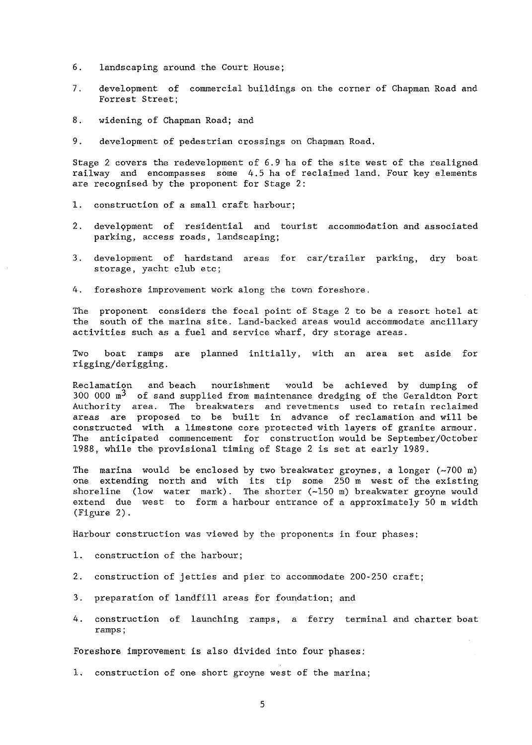- 6. landscaping around the Court House;
- 7. development of commercial buildings on the corner of Chapman Road and Forrest Street;
- 8. widening of Chapman Road; and
- 9. development of pedestrian crossings on Chapman Road.

Stage 2 covers the redevelopment of 6.9 ha of the site west of the realigned railway and encompasses some 4.5 ha of reclaimed land. Four key elements are recognised by the proponent for Stage 2:

- 1. construction of a small craft harbour;
- 2. develqpment of residential and tourist accommodation and associated parking, access roads, landscaping;
- 3. development of hardstand areas for car/trailer parking, dry boat storage, yacht club etc;
- 4. foreshore improvement work along the town foreshore.

The proponent considers the focal point of Stage 2 to be a resort hotel at the south of the marina site. Land-backed areas would accommodate ancillary activities such as a fuel and service wharf, dry storage areas.

Two boat ramps are planned initially, with an area set aside for rigging/derigging.

Reclamation and beach nourishment would be achieved by dumping of 300 000  $m<sup>3</sup>$  of sand supplied from maintenance dredging of the Geraldton Port Authority area. The breakwaters and revetments used to retain reclaimed areas are proposed to be built in advance of reclamation and will be constructed with a limestone core protected with layers of granite armour. The anticipated commencement for construction would be September/October 1988, while the provisional timing of Stage 2 is set at early 1989.

The marina would be enclosed by two breakwater groynes, a longer  $(-700 \text{ m})$ one extending north and with its tip some 250 m west of the existing shoreline (low water mark). The shorter (-150 m) breakwater groyne would extend due west to form a harbour entrance of a approximately 50 m width (Figure 2).

Harbour construction was viewed by the proponents in four phases:

- 1. construction of the harbour;
- 2. construction of jetties and pier to accommodate 200-250 craft;
- 3. preparation of landfill areas for foundation; and
- 4. construction of launching ramps, a ferry terminal and charter boat **ramps;**

Foreshore improvement is also divided into four phases:

1. construction of one short groyne west of the marina;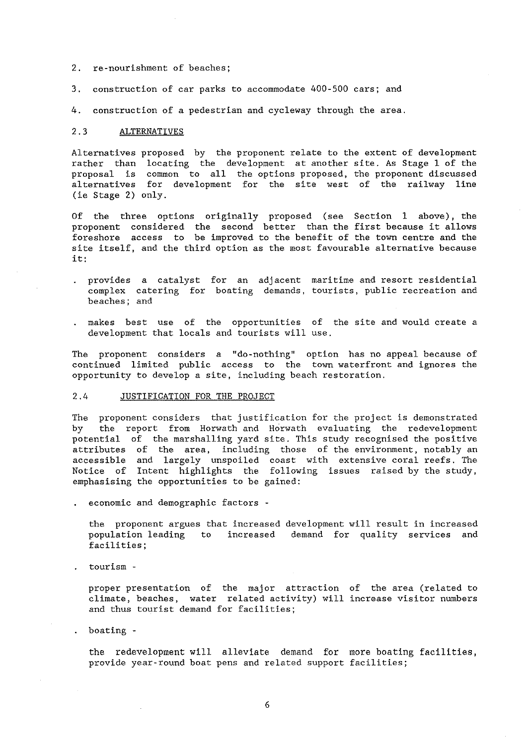- 2. re-nourishment of beaches;
- 3. construction of car parks to accommodate 400-500 cars; and
- 4. construction of a pedestrian and cycleway through the area.

## 2.3 ALTERNATIVES

Alternatives proposed by the proponent relate to the extent of development rather than locating the development at another site. As Stage 1 of the proposal is common to all the options proposed, the proponent discussed .<br>alternatives for development for the site west of the railway line (ie Stage 2) only.

Of the three options originally proposed (see Section 1 above), the proponent considered the second better than the first because it allows foreshore access to be improved to the benefit of the town centre and the site itself, and the third option as the most favourable alternative because it:

- provides a catalyst for an adjacent maritime and resort residential complex catering for boating demands, tourists, public recreation and **beaches;**  and
- makes best use of the opportunities of the site and would create a development that locals and tourists will use.

The proponent considers a "do-nothing" option has no appeal because of continued limited public access to the town waterfront and ignores the opportunity to develop a site, including beach restoration.

## 2.4 JUSTIFICATION FOR THE PROJECT

The proponent considers that justification for the project is demonstrated by the report from Horwath and Horwath evaluating the redevelopment potential of the marshalling yard site. This study recognised the positive attributes of the area, including those of the environment, notably an accessible and largely unspoiled coast with extensive coral reefs. The Notice of Intent highlights the following issues raised by the study, emphasising the opportunities to be gained:

. economic and demographic factors -

the proponent argues that increased development will result in increased population leading to increased **facilities;**  demand for quality services and

**tourism** -

proper presentation of the major attraction of the area (related to climate, beaches, water related activity) will increase visitor numbers and thus tourist demand for facilities;

boating -

the redevelopment will alleviate demand for more boating facilities, provide year-round boat pens and related support facilities;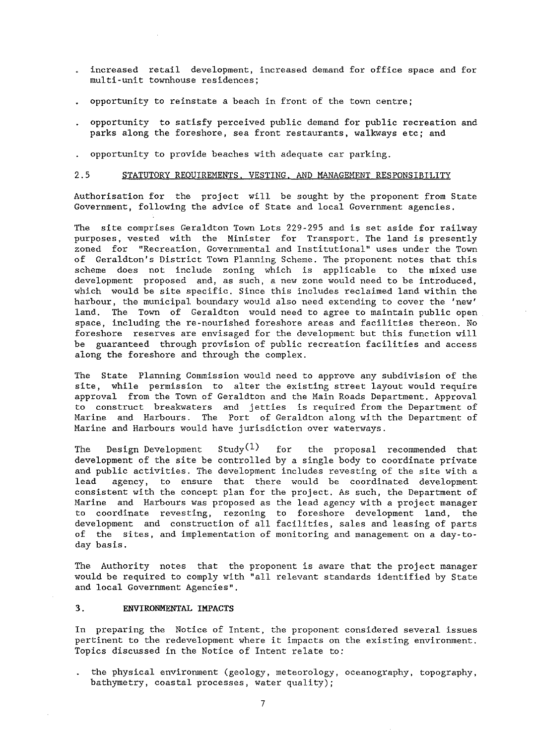- **increased retail development, increased demand for office space and for**  multi-unit townhouse residences;
- opportunity to reinstate a beach in front of the town centre;
- opportunity to satisfy perceived public demand for public recreation and parks along the foreshore, sea front restaurants, walkways etc; and
- opportunity to provide beaches with adequate car parking.

# 2.5 STATUTORY REQUIREMENTS, VESTING. AND MANAGEMENT RESPONSIBILITY

Authorisation for the project will be sought by the proponent from State Government, following the advice of State and local Government agencies.

The site comprises Geraldton Town Lots 229-295 and is set aside for railway purposes, vested with the Minister for Transport. The land is presently zoned for "Recreation, Governmental and Institutional" uses under the Town of Geraldton's District Town Planning Scheme. The proponent notes that this scheme does not include zoning which is applicable to the mixed use development proposed and, as such, a new zone would need to be introduced, which would be site specific. Since this includes reclaimed land within the harbour, the municipal boundary would also need extending to cover the 'new' land. The Town of Geraldton would need to agree to maintain public open space, including the re-nourished foreshore areas and facilities thereon. No foreshore reserves are envisaged for the development but this function will be guaranteed through provision of public recreation facilities and access along the foreshore and through the complex.

The State Planning Commission would need to approve any subdivision of the site, while permission to alter the existing street layout would require approval from the Town of Geraldton and the Main Roads Department. Approval to construct breakwaters and jetties is required from the Department of Marine and Harbours. The Port of Geraldton along with the Department of Marine and Harbours would have jurisdiction over waterways.

The Design-Development Study<sup>(1)</sup> for the proposal recommended that development of the site be controlled by a single body to coordinate private and public activities. The development includes revesting of the site with a lead agency, to ensure that there would be coordinated development agency, to ensure that there would be coordinated development consistent with the concept plan for the project. As such, the Department of Marine and Harbours was proposed as the lead agency with a project manager to coordinate revesting, rezoning to foreshore development land, the development and construction of all facilities, sales and leasing of parts of the sites, and implementation of monitoring and management on a day-today basis.

The Authority notes that the proponent is aware that the project manager would be required to comply with "all relevant standards identified by State and local Government Agencies".

## 3 . **ENVIRONMENTAL IMPACTS**

In preparing the Notice of Intent, the proponent considered several issues pertinent to the redevelopment where it impacts on the existing environment. Topics discussed in the Notice of Intent relate to:

the physical environment (geology, meteorology, oceanography, topography, bathymetry, coastal processes, water quality);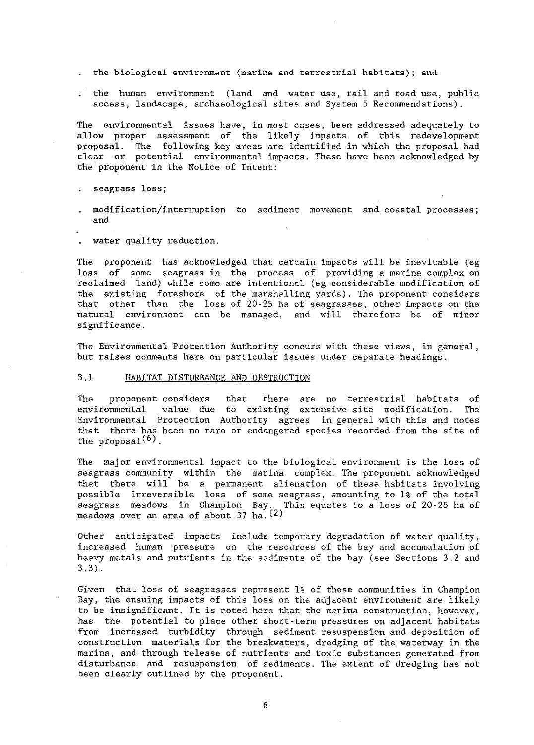the biological environment (marine and terrestrial habitats); and

the human environment (land and water use, rail and road use, public access, landscape, archaeological sites and System 5 Recommendations).

The environmental issues have, in most cases, been addressed adequately to allow proper assessment of the likely impacts of this redevelopment<br>proposal. The following key areas are identified in which the proposal had The following key areas are identified in which the proposal had clear or potential environmental impacts. These have been acknowledged by the proponent in the Notice of Intent:

- **seagrass loss;**
- **modification/interruption to sediment movement and coastal processes;**  and
- water quality reduction.

The proponent has acknowledged that certain impacts will be inevitable (eg loss of some seagrass in the process of providing a marina complex on reclaimed land) while some are intentional (eg considerable modification of the existing foreshore of the marshalling yards). The proponent considers that other than the loss of 20-25 ha of seagrasses, other impacts on the natural environment can be managed, and will therefore be of minor significance.

The Environmental Protection Authority concurs with these views, in general, **but raises comments here on particular issues under separate headings.** 

#### 3.1 HABITAT DISTURBANCE AND DESTRUCTION

The proponent considers that there are no terrestrial habitats of environmental value due to existing extensive site modification. The Environmental Protection Authority agrees in general with this and notes that there has been no rare or endangered species recorded from the site of the proposal $(6)$ .

The major environmental impact to the biological environment is the loss of seagrass community within the marina complex. The proponent acknowledged that there will be a permanent alienation of these habitats involving possible irreversible loss of some seagrass, amounting to 1% of the total seagrass meadows in Champion Bay. This equates to a loss of 20-25 ha of meadows over an area of about 37 ha.  $(2)$ 

Other anticipated impacts include temporary degradation of water quality, increased human pressure on the resources of the bay and accumulation of heavy metals and nutrients in the sediments of the bay (see Sections 3.2 and 3.3).

Given that loss of seagrasses represent 1% of these communities in Champion Bay, the ensuing impacts of this loss on the adjacent environment are likely **to be insignificant. It is noted here that the marina construction, however,**  has the potential to place other short-term pressures on adjacent habitats from increased turbidity through sediment resuspension and deposition of construction materials for the breakwaters, dredging of the waterway in the marina, and through release of nutrients and toxic substances generated from disturbance and resuspension of sediments. The extent of dredging has not been clearly outlined by the proponent.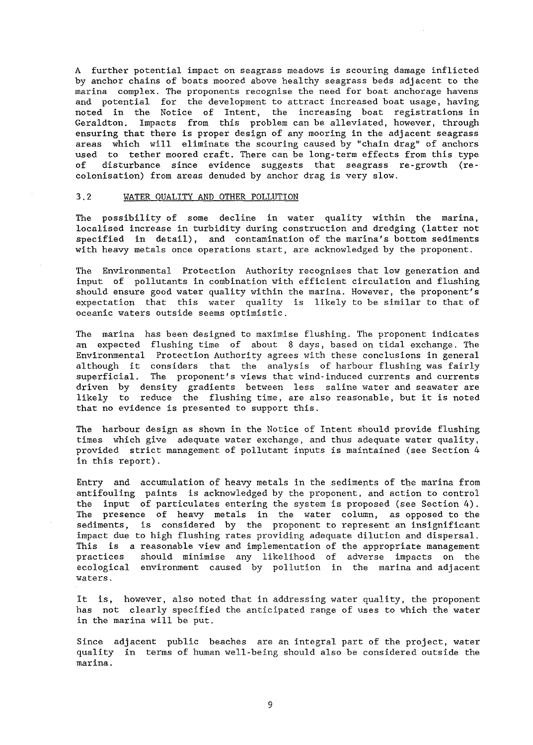A further potential impact on seagrass meadows is scouring damage inflicted by anchor chains of boats moored above healthy seagrass beds adjacent to the marina complex. The proponents recognise the need for boat anchorage havens and potential for the development to attract increased boat usage, having noted in the Notice of Intent, the increasing boat registrations in Geraldton. Impacts from this problem can be alleviated, however, through ensuring that there is proper design of any mooring in the adjacent seagrass areas which will eliminate the scouring caused by "chain drag" of anchors used to tether moored craft. There can be long-term effects from this type<br>of disturbance since evidence suggests that seagrass re-growth (redisturbance since evidence suggests that seagrass re-growth (recolonisation) from areas denuded by anchor drag is very slow.

#### 3.2 WATER QUALITY AND OTHER POLLUTION

The possibility of some decline in water quality within the marina, localised increase in turbidity during construction and dredging (latter not specified in detail), and contamination of the marina's bottom sediments with heavy metals once operations start, are acknowledged by the proponent.

The Environmental Protection Authority recognises that low generation and input of pollutants in combination with efficient circulation and flushing should ensure good water quality within the marina. However, the proponent's expectation that this water quality is likely to be similar to that of **oceanic waters outside seems optimistic.** 

The marina has been designed to maximise flushing. The proponent indicates an expected flushing time of about 8 days, based on tidal exchange. The Environmental Protection Authority agrees with these conclusions in general although it considers that the analysis of harbour flushing was fairly superficial. The proponent's views that wind-induced currents and currents driven by density gradients between less saline water and seawater are likely to reduce the flushing time, are also reasonable, but it is noted that no evidence is presented to support this.

The harbour design as shown in the Notice of Intent should provide flushing times which give adequate water exchange, and thus adequate water quality, provided strict management of pollutant inputs is maintained (see Section 4 in this report).

Entry and accumulation of heavy metals in the sediments of the marina from antifouling paints is acknowledged by the proponent, and action to control the input of particulates entering the system is proposed (see Section 4). The presence of heavy metals in the water column, as opposed to the sediments, is considered by the proponent to represent an insignificant impact due to high flushing rates providing adequate dilution and dispersal. This is a reasonable view and implementation of the appropriate management practices should minimise any likelihood of adverse impacts on the ecological environment caused by pollution in the marina and adjacent **waters.** 

It is, however, also noted that in addressing water quality, the proponent has not clearly specified the anticipated range of uses to which the water in the marina will be put.

Since adjacent public beaches are an integral part of the project, water quality in terms of human well-being should also be considered outside the **marina.**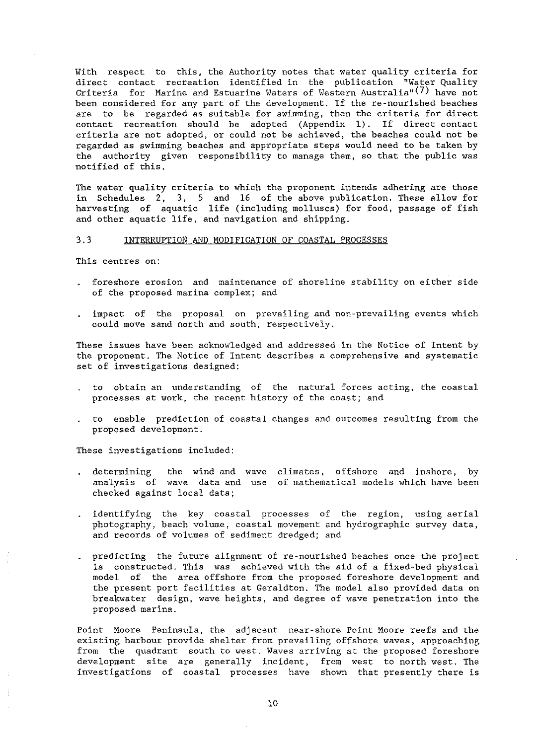With respect to this, the Authority notes that water quality criteria for direct contact recreation identified in the publication "Water Quality Criteria for Marine and Estuarine Waters of Western Australia" $(7)$  have not been considered for any part of the development. If the re-nourished beaches are to be regarded as suitable for swimming, then the criteria for direct contact recreation should be adopted (Appendix 1). If direct contact criteria are not adopted, or could not be achieved, the beaches could not be regarded as swimming beaches and appropriate steps would need to be taken by the authority given responsibility to manage them, so that the public was notified of this.

The water quality criteria to which the proponent intends adhering are those in Schedules 2, 3, 5 and 16 of the above publication. These allow for harvesting of aquatic life (including molluscs) for food, passage of fish and other aquatic life, and navigation and shipping.

## 3.3 INTERRUPTION AND MODIFICATION OF COASTAL PROCESSES

This centres on:

- foreshore erosion and maintenance of shoreline stability on either side of the proposed marina complex; and
- impact of the proposal on prevailing and non-prevailing events which could move sand north and south, respectively.

These issues have been acknowledged and addressed in the Notice of Intent by the proponent. The Notice of Intent describes a comprehensive and systematic set of investigations designed:

- to obtain an understanding of the natural forces acting, the coastal processes at work, the recent history of the coast; and
- to enable prediction of coastal changes and outcomes resulting from the proposed development.

These investigations included:

- determining the wind and wave climates, offshore and inshore, by analysis of wave data and use of mathematical models which have been checked against local data;
- identifying the key coastal processes of the region, using aerial photography, beach volume, coastal movement and hydrographic survey data, and records of volumes of sediment dredged; and
- predicting the future alignment of re-nourished beaches once the project is constructed. This was achieved with the aid of a fixed-bed physical model of the area offshore from the proposed foreshore development and the present port facilities at Geraldton. The model also provided data on breakwater design, wave heights, and degree of wave penetration into the proposed marina.

Point Moore Peninsula, the adjacent near-shore Point Moore reefs and the existing harbour provide shelter from prevailing offshore waves, approaching from the quadrant south to west. Waves arriving at the proposed foreshore development site are generally incident, from west to north west. The investigations of coastal processes have shown that presently there is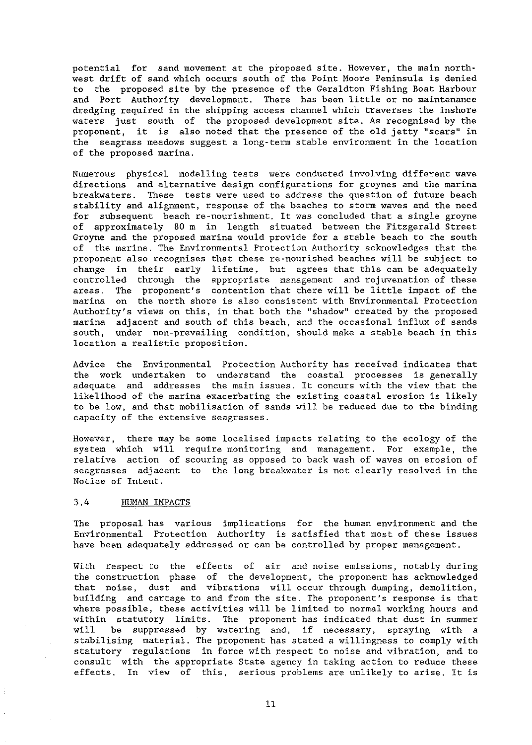potential for sand movement at the proposed site. However, the main northwest drift of sand which occurs south of the Point Moore Peninsula is denied to the proposed site by the presence of the Geraldton Fishing Boat Harbour and Port Authority development. There has been little or no maintenance dredging required in the shipping access channel which traverses the inshore waters just south of the proposed development site. As recognised by the proponent, it is also noted that the presence of the old jetty "scars" in the seagrass meadows suggest a long-term stable environment in the location of the proposed marina.

Numerous physical modelling tests were conducted involving different wave directions and alternative design configurations for groynes and the marina breakwaters. These tests were used to address the question of future beach stability and alignment, response of the beaches to storm waves and the need for subsequent beach re-nourishment. It was concluded that a single groyne of approximately 80 m in length situated between the Fitzgerald Street Groyne and the proposed marina would provide for a stable beach to the south of the marina. The Environmental Protection Authority acknowledges that the proponent also recognises that these re-nourished beaches will be subject to change in their early lifetime, but agrees that this can be adequately controlled through the appropriate management and rejuvenation of these areas. The proponent's contention that there will be little impact of the marina on the north shore is also consistent with Environmental Protection Authority's views on this, in that both the "shadow" created by the proposed marina adjacent and south of this beach, and the occasional influx of sands south, under non-prevailing condition, should make a stable beach in this location a realistic proposition.

Advice the Environmental Protection Authority has received indicates that the work undertaken to understand the coastal processes is generally adequate and addresses the main issues. It concurs with the view that the likelihood of the marina exacerbating the existing coastal erosion is likely to be low, and that mobilisation of sands will be reduced due to the binding capacity of the extensive seagrasses.

However, there may be some localised impacts relating to the ecology of the system which will require monitoring and management. For example, the relative action of scouring as opposed to back wash of waves on erosion of seagrasses adjacent to the long breakwater is not clearly resolved in the Notice of Intent.

## 3.4 HUMAN IMPACTS

The proposal has various implications for the human environment and the Environmental Protection Authority is satisfied that most of these issues have been adequately addressed or can be controlled by proper management.

With respect to the effects of air and noise emissions, notably during the construction phase of the development, the proponent has acknowledged that noise, dust and vibrations will occur through dumping, demolition, building and cartage to and from the site. The proponent's response is that where possible, these activities will be limited to normal working hours and within statutory limits. The proponent has indicated that dust in summer within beatable, interval in proponent has indicated that date in banalize with a will be suppressed by watering and, if necessary, spraying with a stabilising material. The proponent has stated a willingness to comply with statutory regulations in force with respect to noise and vibration, and to consult with the appropriate State agency in taking action to reduce these effects. In view of this, serious problems are unlikely to arise. It is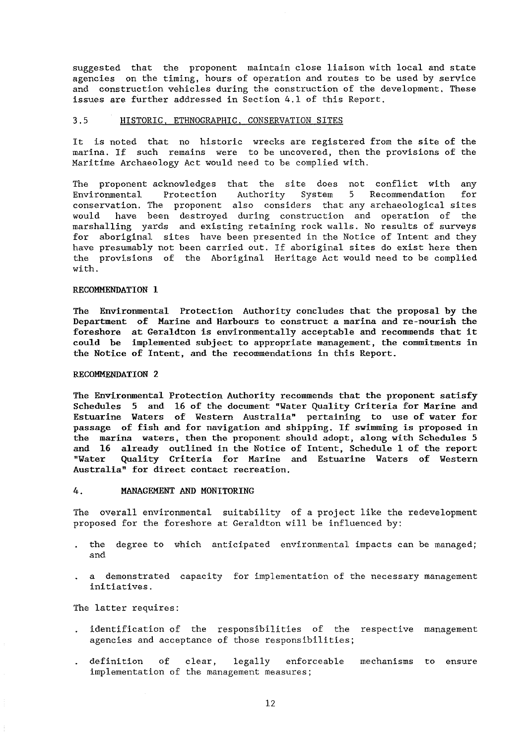suggested that the proponent maintain close liaison with local and state agencies on the timing, hours of operation and routes to be used by service and construction vehicles during the construction of the development. These issues are further addressed in Section 4.1 of this Report.

#### 3.5 HISTORIC, ETHNOGRAPHIC, CONSERVATION SITES

It is noted that no historic wrecks are registered from the site of the marina. If such remains were to be uncovered, then the provisions of the Maritime Archaeology Act would need to be complied with.

The proponent acknowledges that the site does not conflict with any<br>Environmental Protection Authority System 5 Recommendation for Environmental Protection Authority System 5 Recommendation for conservation. The proponent also considers that any archaeological sites would have been destroyed during construction and operation of the marshalling yards and existing retaining rock walls. No results of surveys for aboriginal sites have been presented in the Notice of Intent and they have presumably not been carried out. If aboriginal sites do exist here then the provisions of the Aboriginal Heritage Act would need to be complied with.

#### RECOMMENDATION 1

The Environmental Protection Authority concludes that the proposal by the **Department of Marine and Harbours to construct a marina and re-nourish the**  foreshore at Geraldton is environmentally acceptable and recommends that it could be implemented subject to appropriate management, the commitments in the Notice of Intent, and the recommendations in this Report.

#### RECOMMENDATION 2

The Environmental Protection Authority recommends that the proponent satisfy Schedules 5 and 16 of the document "Water Quality Criteria for Marine and Estuarine Waters of Western Australia" pertaining to use of water for passage of fish and for navigation and shipping. If swimming is proposed in the marina waters, then the proponent should adopt, along with Schedules 5 and 16 already outlined in the Notice of Intent, Schedule 1 of the report<br>"Water Quality Criteria for Marine and Estuarine Waters of Western Quality Criteria for Marine and Estuarine Waters of Western Australia" for direct contact recreation.

## 4. MANAGEMENT AND MONITORING

The overall environmental suitability of a project like the redevelopment proposed for the foreshore at Geraldton will be influenced by:

- the degree to which anticipated environmental impacts can be managed; and
- a demonstrated capacity for implementation of the necessary management **initiatives.**

The latter requires:

- identification of the responsibilities of the respective management agencies and acceptance of those responsibilities;
- definition of clear, legally enforceable **implementation of the management measures; mechanisms to ensure**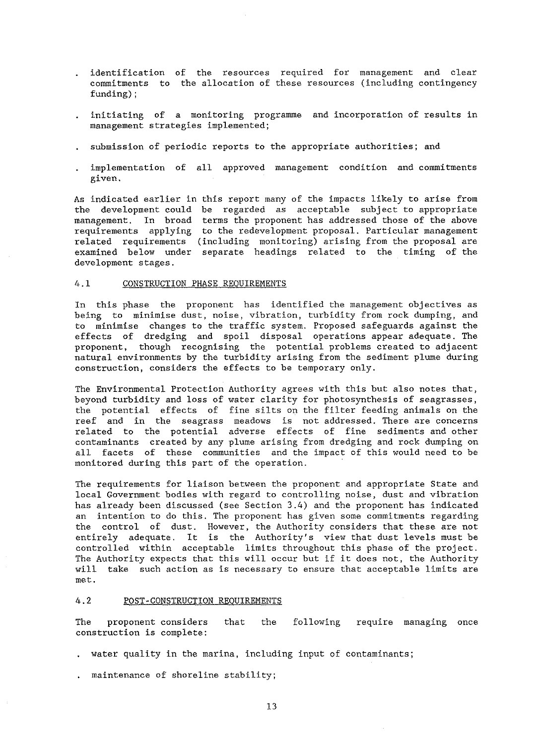- identification of the resources required for management and clear commitments to the allocation of these resources (including contingency funding);
- initiating of a monitoring programme and incorporation of results in management strategies implemented;
- submission of periodic reports to the appropriate authorities; and
- implementation of all approved management condition and commitments given.

As indicated earlier in this report many of the impacts likely to arise from the development could be regarded as acceptable subject to appropriate management. In broad terms the proponent has addressed those of the above requirements applying to the redevelopment proposal. Particular management related requirements (including monitoring) arising from the proposal are examined below under separate headings related to the timing of the development stages.

#### 4.1 CONSTRUCTION PHASE REQUIREMENTS

In this phase the proponent has identified the management objectives as being to minimise dust, noise, vibration, turbidity from rock dumping, and to minimise changes to the traffic system. Proposed safeguards against the effects of dredging and spoil disposal operations appear adequate. The proponent, though recognising the potential problems created to adjacent natural environments by the turbidity arising from the sediment plume during construction, considers the effects to be temporary only.

The Environmental Protection Authority agrees with this but also notes that, beyond turbidity and loss of water clarity for photosynthesis of seagrasses, the potential effects of fine silts on the filter feeding animals on the reef and in the seagrass meadows is not addressed. There are concerns related to the potential adverse effects of fine sediments and other contaminants created by any plume arising from dredging and rock dumping on all facets of these communities and the impact of this would need to be monitored during this part of the operation.

The requirements for liaison between the proponent and appropriate State and local Government bodies with regard to controlling noise, dust and vibration has already been discussed (see Section 3.4) and the proponent has indicated an intention to do this. The proponent has given some commitments regarding the control of dust. However, the Authority considers that these are not entirely adequate. It is the Authority's view that dust levels must be controlled within acceptable limits throughout this phase of the project. The Authority expects that this will occur but if it does not, the Authority will take such action as is necessary to ensure that acceptable limits are met.

#### 4.2 POST-CONSTRUCTION REQUIREMENTS

The proponent considers construction is complete: that the following require managing once

- water quality in the marina, including input of contaminants;
- maintenance of shoreline stability;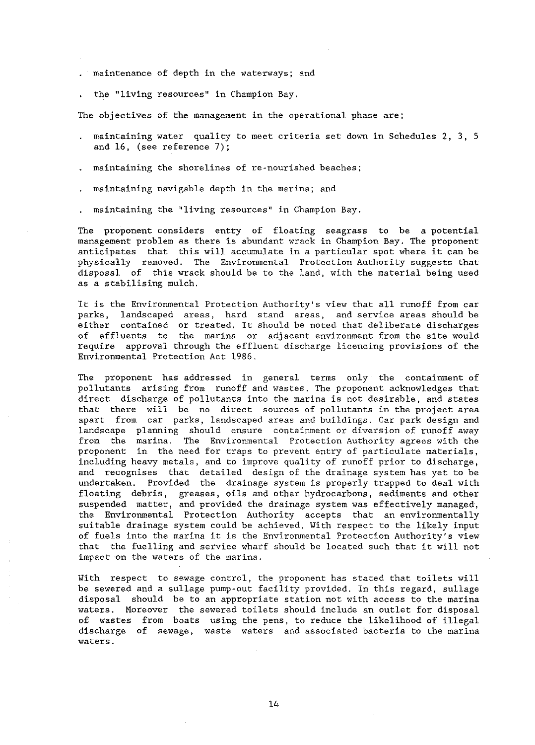- maintenance of depth in the waterways; and
- the "living resources" in Champion Bay.

The objectives of the management in the operational phase are;

- maintaining water quality to meet criteria set down in Schedules 2, 3, 5 and 16, (see reference 7);
- maintaining the shorelines of re-nourished beaches;
- maintaining navigable depth in the marina; and
- maintaining the "living resources" in Champion Bay.

The proponent considers entry of floating seagrass to be a potential management problem as there is abundant wrack in Champion Bay. The proponent anticipates that this will accumulate in a particular spot where it can be physically removed. The Environmental Protection Authority suggests that disposal of this wrack should be to the land, with the material being used as a stabilising mulch.

It is the Environmental Protection Authority's view that all runoff from car **parks, landscaped areas, hard stand areas, and service areas should be**  either contained or treated. It should be noted that deliberate discharges of effluents to the marina or adjacent environment from the site would require approval through the effluent discharge licencing provisions of the Environmental Protection Act 1986.

The proponent has addressed in general terms only· the containment of pollutants arising from runoff and wastes. The proponent acknowledges that direct discharge of pollutants into the marina is not desirable, and states that there will be no direct sources of pollutants in the project area apart from car parks, landscaped areas and buildings. Car park design and landscape planning should ensure containment or diversion of runoff away from the marina. The Environmental Protection Authority agrees with the proponent in the need for traps to prevent entry of particulate materials, including heavy metals, and to improve quality of runoff prior to discharge, and recognises that detailed design of the drainage system has yet to be undertaken. Provided the drainage system is properly trapped to deal with floating debris, greases, oils and other hydrocarbons, sediments and other suspended matter, and provided the drainage system was effectively managed, the Environmental Protection Authority accepts that an environmentally suitable drainage system could be achieved. With respect to the likely input of fuels into the marina it is the Environmental Protection Authority's view<br>that the fuelling and service wharf should be located such that it will not the fuelling and service wharf should be located such that it will not impact on the waters of the marina.

With respect to sewage control, the proponent has stated that toilets will be sewered and a sullage pump-out facility provided. In this regard, sullage disposal should be to an appropriate station not with access to the marina waters. Moreover the sewered toilets should include an outlet for disposal of wastes from boats using the pens, to reduce the likelihood of illegal discharge of sewage, waste waters and associated bacteria to the marina **waters.**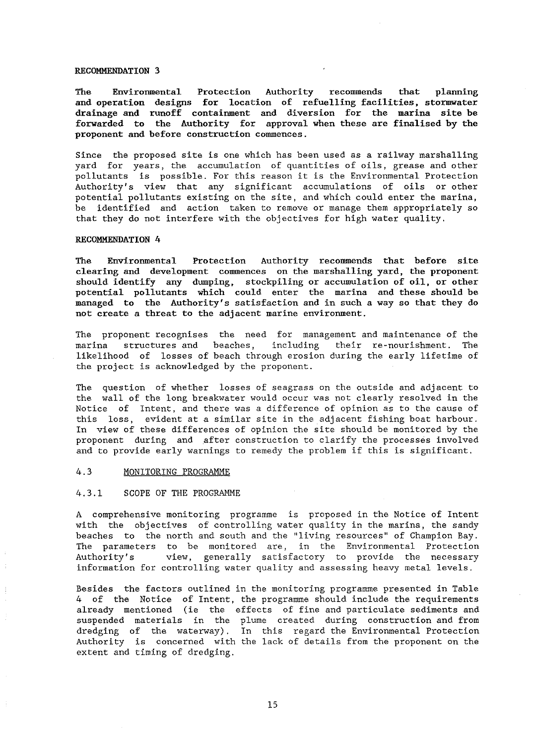#### RECOMMENDATION 3

The Environmental Protection Authority recommends that planning and operation designs for location of refuelling facilities, stormwater drainage and runoff containment and diversion for the marina site be forwarded to the Authority for approval when these are finalised by the **proponent and before construction commences.** 

Since the proposed site is one which has been used as a railway marshalling yard for years, the accumulation of quantities of oils, grease and other pollutants is possible. For this reason it is the Environmental Protection Authority's view that any significant accumulations of oils or other potential pollutants existing on the site, and which could enter the marina, be identified and action taken to remove or manage them appropriately so that they do not interfere with the objectives for high water quality.

## RECOMMENDATION 4

The Environmental Protection Authority recommends that before site clearing and development commences on the marshalling yard, the proponent should identify any dumping, stockpiling or accumulation of oil, or other potential pollutants which could enter the marina and these should be managed to the Authority's satisfaction and in such a way so that they do not create a threat to the adjacent marine environment.

The proponent recognises the need for management and maintenance of the marina structures and beaches, including their re-nourishment. The marina structures and beaches, including their re-nourishment. The likelihood of losses of beach through erosion during the early lifetime of the project is acknowledged by the proponent.

The question of whether losses of seagrass on the outside and adjacent to the wall of the long breakwater would occur was not clearly resolved in the Notice of Intent, and there was a difference of opinion as to the cause of this loss, evident at a similar site in the adjacent fishing boat harbour. In view of these differences of opinion the site should be monitored by the proponent during and after construction to clarify the processes involved and to provide early warnings to remedy the problem if this is significant.

#### 4.3 MONITORING PROGRAMME

### 4.3.1 SCOPE OF THE PROGRAMME

A comprehensive monitoring programme is proposed in the Notice of Intent with the objectives of controlling water quality in the marina, the sandy beaches to the north and south and the "living resources" of Champion Bay. The parameters to be monitored are, in the Environmental Protection Authority's view, generally satisfactory to provide the necessary information for controlling water quality and assessing heavy metal levels.

Besides the factors outlined in the monitoring programme presented in Table 4 of the Notice of Intent, the programme should include the requirements already mentioned (ie the effects of fine and particulate sediments and suspended materials in the plume created during construction and from dredging of the waterway). In this regard the Environmental Protection Authority is concerned with the lack of details from the proponent on the extent and timing of dredging.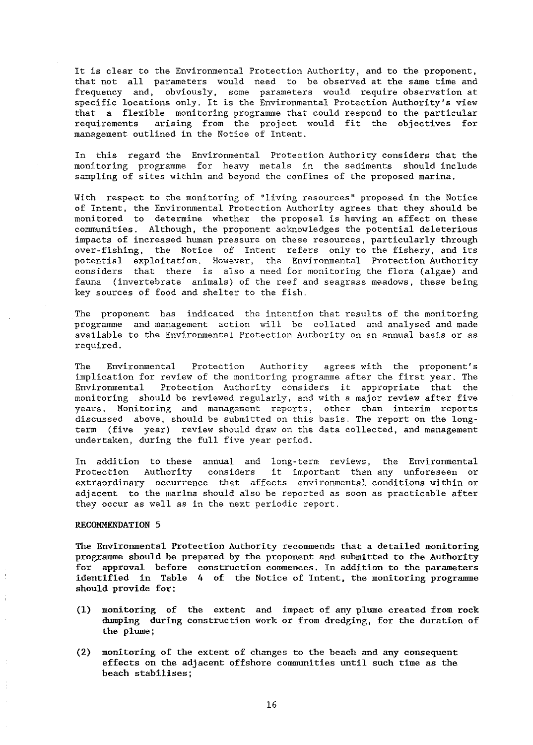It is clear to the Environmental Protection Authority, and to the proponent, that not all parameters would need to be observed at the same time and frequency and, obviously, some parameters would require observation at specific locations only. It is the Environmental Protection Authority's view that a flexible monitoring programme that could respond to the particular<br>requirements arising from the project would fit the objectives for arising from the project would fit the objectives for management outlined in the Notice of Intent.

In this regard the Environmental Protection Authority considers that the monitoring programme for heavy metals in the sediments should include sampling of sites within and beyond the confines of the proposed marina.

With respect to the monitoring of "living resources" proposed in the Notice of Intent, the Environmental Protection Authority agrees that they should be monitored to determine whether the proposal is having an affect on these communities. Although, the proponent acknowledges the potential deleterious impacts of increased human pressure on these resources, particularly through over-fishing, the Notice of Intent refers only to the fishery, and its potential exploitation. However, the Environmental Protection Authority considers that there is also a need for monitoring the flora (algae) and fauna (invertebrate animals) of the reef and seagrass meadows, these being key sources of food and shelter to the fish.

The proponent has indicated the intention that results of the monitoring programme and management action will be collated and analysed and made available to the Environmental Protection Authority on an annual basis or as required.

The Environmental Protection Authority agrees with the proponent's implication for review of the monitoring programme after the first year. The<br>Environmental Protection Authority considers it appropriate that the Protection Authority considers it appropriate that the monitoring should be reviewed regularly, and with a major review after five years. Monitoring and management reports, other than interim reports discussed above, should be submitted on this basis. The report on the longterm (five year) review should draw on the data collected, and management undertaken, during the full five year period.

In addition to these annual and long-term reviews, the Environmental Protection Authority considers it important than any unforeseen or extraordinary occurrence that affects environmental conditions within or adjacent to the marina should also be reported as soon as practicable after they occur as well as in the next periodic report.

## RECOMMENDATION 5

The Environmental Protection Authority recommends that a detailed monitoring programme should be prepared by the proponent and submitted to the Authority for approval before construction commences. In addition to the parameters identified in Table 4 of the Notice of Intent, the monitoring programme should provide for:

- (1) monitoring of the extent and impact of any plume created from rock dumping during construction work or from dredging, for the duration of the plume;
- (2) monitoring of the extent of changes to the beach and any consequent effects on the adjacent offshore communities until such time as the beach stabilises;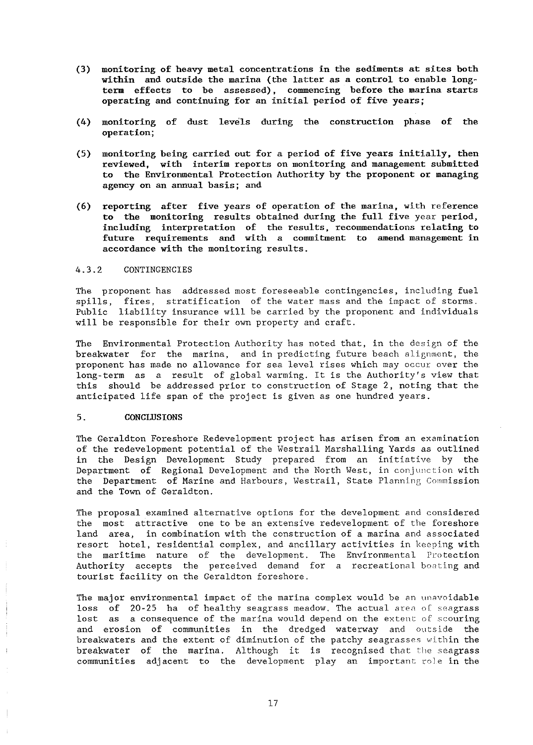- (3) monitoring of heavy metal concentrations in the sediments at sites hoth within and outside the marina (the latter as a control to enable longterm effects to be assessed), commencing before the marina starts operating and continuing for an initial period of five years;
- (4) monitoring of dust levels during the construction phase of the **operation;**
- (5) monitoring being carried out for a period of five years initially, then **reviewed, with interim reports on monitoring and management submitted**  to the Environmental Protection Authority by the proponent or managing **agency on an annual basis; and**
- (6) reporting after five years of operation of the marina, with reference to the monitoring results obtained during the full five year period, including interpretation of the results, recommendations relating to future requirements and with a commitment to amend management in accordance with the monitoring results.

## 4.3.2 CONTINGENCIES

The proponent has addressed most foreseeable contingencies, including fuel spills, fires, stratification of the water mass and the impact of storms. Public liability insurance will be carried by the proponent and individuals will be responsible for their own property and craft.

The Environmental Protection Authority has noted that, in the design of the breakwater for the marina, and in predicting future beach alignment, the proponent has made no allowance for sea level rises which may occur over the long-term as a result of global warming. It is the Authority's view that this should be addressed prior to construction of Stage 2, noting that the anticipated life span of the project is given as one hundred years.

## 5. CONCLUSIONS

The Geraldton Foreshore Redevelopment project has arisen from an examination of the redevelopment potential of the Westrail Marshalling Yards as outlined in the Design Development Study prepared from an initiative by the Department of Regional Development and the North West, in conjunction with the Department of Marine and Harbours, Westrail, State Planning Commission and the Town of Geraldton.

The proposal examined alternative options for the development and considered the most attractive one to be an extensive redevelopment of the foreshore land area, in combination with the construction of a marina and associated resort hotel, residential complex, and ancillary activities in keeping with the maritime nature of the development. The Environmental Protection Authority accepts the perceived demand for a recreational boating and tourist facility on the Geraldton foreshore.

The major environmental impact of the marina complex would be an unavoidable loss of 20-25 ha of healthy seagrass meadow. The actual area of seagrass lost as a consequence of the marina would depend on the extent of scouring and erosion of communities in the dredged waterway and outside the breakwaters and the extent of diminution of the patchy seagrasses within the breakwater of the marina. Although it is recognised that the seagrass communities adjacent to the development play an important role in the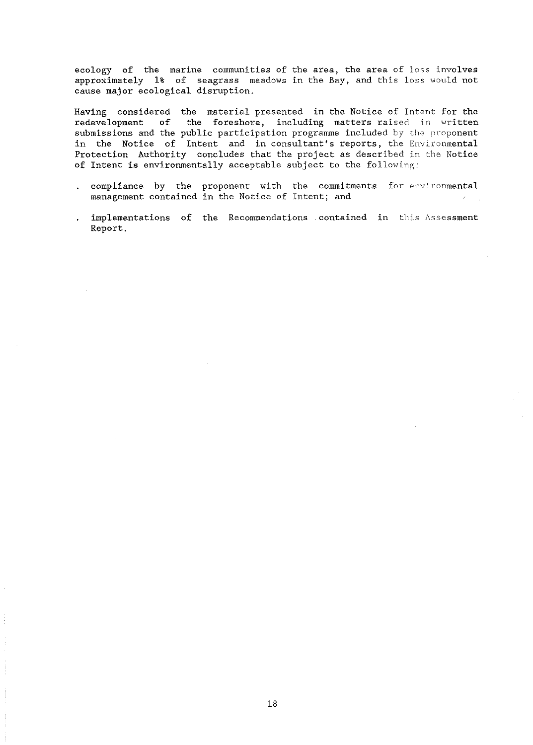ecology of the marine communities of the area, the area of loss involves approximately **l%** of seagrass meadows in the Bay, and this loss would not cause major ecological disruption.

Having considered the material presented in the Notice of Intent for the redevelopment of the foreshore, including matters raised in written of the foreshore, including matters raised in written submissions and the public participation programme included by the proponent in the Notice of Intent and in consultant's reports, the Environmental Protection Authority concludes that the project as described in the Notice of Intent is environmentally acceptable subject to the followinp,:

- . compliance by the proponent with the commitments for environmental management contained in the Notice of Intent; and
- **implementations of the Recommendations contained in this Assessment**  Report.